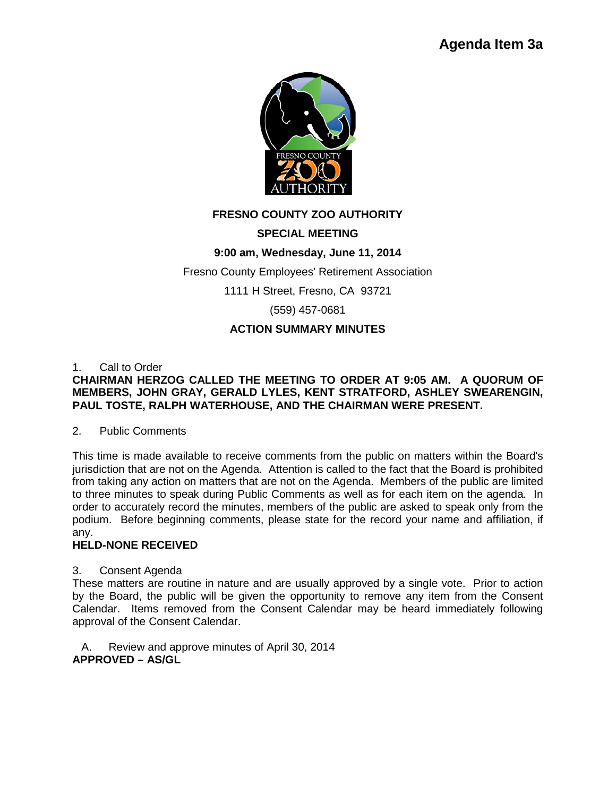

# **FRESNO COUNTY ZOO AUTHORITY**

### **SPECIAL MEETING**

## **9:00 am, Wednesday, June 11, 2014**

Fresno County Employees' Retirement Association

1111 H Street, Fresno, CA 93721

(559) 457-0681

### **ACTION SUMMARY MINUTES**

### 1. Call to Order

### **CHAIRMAN HERZOG CALLED THE MEETING TO ORDER AT 9:05 AM. A QUORUM OF MEMBERS, JOHN GRAY, GERALD LYLES, KENT STRATFORD, ASHLEY SWEARENGIN, PAUL TOSTE, RALPH WATERHOUSE, AND THE CHAIRMAN WERE PRESENT.**

#### 2. Public Comments

This time is made available to receive comments from the public on matters within the Board's jurisdiction that are not on the Agenda. Attention is called to the fact that the Board is prohibited from taking any action on matters that are not on the Agenda. Members of the public are limited to three minutes to speak during Public Comments as well as for each item on the agenda. In order to accurately record the minutes, members of the public are asked to speak only from the podium. Before beginning comments, please state for the record your name and affiliation, if any.

### **HELD-NONE RECEIVED**

### 3. Consent Agenda

These matters are routine in nature and are usually approved by a single vote. Prior to action by the Board, the public will be given the opportunity to remove any item from the Consent Calendar. Items removed from the Consent Calendar may be heard immediately following approval of the Consent Calendar.

A. Review and approve minutes of April 30, 2014 **APPROVED – AS/GL**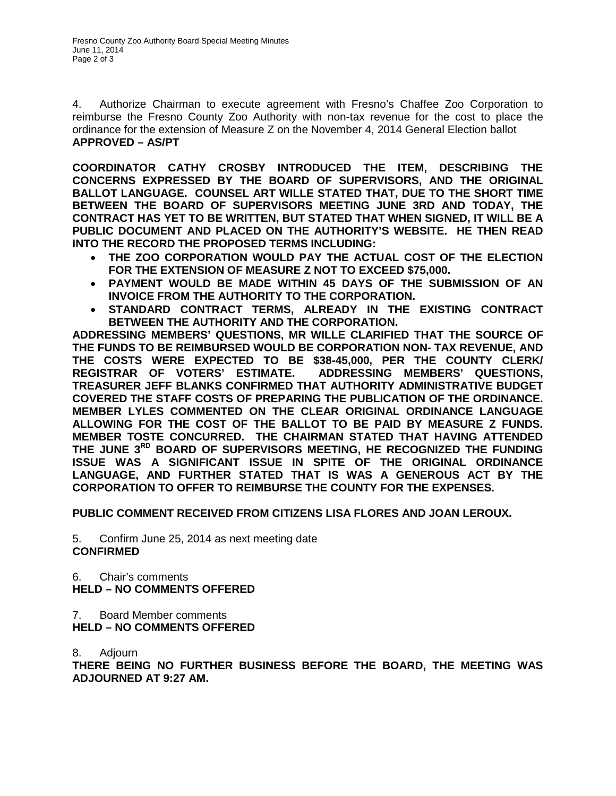4. Authorize Chairman to execute agreement with Fresno's Chaffee Zoo Corporation to reimburse the Fresno County Zoo Authority with non-tax revenue for the cost to place the ordinance for the extension of Measure Z on the November 4, 2014 General Election ballot **APPROVED – AS/PT**

**COORDINATOR CATHY CROSBY INTRODUCED THE ITEM, DESCRIBING THE CONCERNS EXPRESSED BY THE BOARD OF SUPERVISORS, AND THE ORIGINAL BALLOT LANGUAGE. COUNSEL ART WILLE STATED THAT, DUE TO THE SHORT TIME BETWEEN THE BOARD OF SUPERVISORS MEETING JUNE 3RD AND TODAY, THE CONTRACT HAS YET TO BE WRITTEN, BUT STATED THAT WHEN SIGNED, IT WILL BE A PUBLIC DOCUMENT AND PLACED ON THE AUTHORITY'S WEBSITE. HE THEN READ INTO THE RECORD THE PROPOSED TERMS INCLUDING:**

- **THE ZOO CORPORATION WOULD PAY THE ACTUAL COST OF THE ELECTION FOR THE EXTENSION OF MEASURE Z NOT TO EXCEED \$75,000.**
- **PAYMENT WOULD BE MADE WITHIN 45 DAYS OF THE SUBMISSION OF AN INVOICE FROM THE AUTHORITY TO THE CORPORATION.**
- **STANDARD CONTRACT TERMS, ALREADY IN THE EXISTING CONTRACT BETWEEN THE AUTHORITY AND THE CORPORATION.**

**ADDRESSING MEMBERS' QUESTIONS, MR WILLE CLARIFIED THAT THE SOURCE OF THE FUNDS TO BE REIMBURSED WOULD BE CORPORATION NON- TAX REVENUE, AND THE COSTS WERE EXPECTED TO BE \$38-45,000, PER THE COUNTY CLERK/ REGISTRAR OF VOTERS' ESTIMATE. ADDRESSING MEMBERS' QUESTIONS, TREASURER JEFF BLANKS CONFIRMED THAT AUTHORITY ADMINISTRATIVE BUDGET COVERED THE STAFF COSTS OF PREPARING THE PUBLICATION OF THE ORDINANCE. MEMBER LYLES COMMENTED ON THE CLEAR ORIGINAL ORDINANCE LANGUAGE ALLOWING FOR THE COST OF THE BALLOT TO BE PAID BY MEASURE Z FUNDS. MEMBER TOSTE CONCURRED. THE CHAIRMAN STATED THAT HAVING ATTENDED THE JUNE 3RD BOARD OF SUPERVISORS MEETING, HE RECOGNIZED THE FUNDING ISSUE WAS A SIGNIFICANT ISSUE IN SPITE OF THE ORIGINAL ORDINANCE LANGUAGE, AND FURTHER STATED THAT IS WAS A GENEROUS ACT BY THE CORPORATION TO OFFER TO REIMBURSE THE COUNTY FOR THE EXPENSES.** 

**PUBLIC COMMENT RECEIVED FROM CITIZENS LISA FLORES AND JOAN LEROUX.**

5. Confirm June 25, 2014 as next meeting date **CONFIRMED**

6. Chair's comments **HELD – NO COMMENTS OFFERED**

7. Board Member comments

**HELD – NO COMMENTS OFFERED**

8. Adjourn

**THERE BEING NO FURTHER BUSINESS BEFORE THE BOARD, THE MEETING WAS ADJOURNED AT 9:27 AM.**